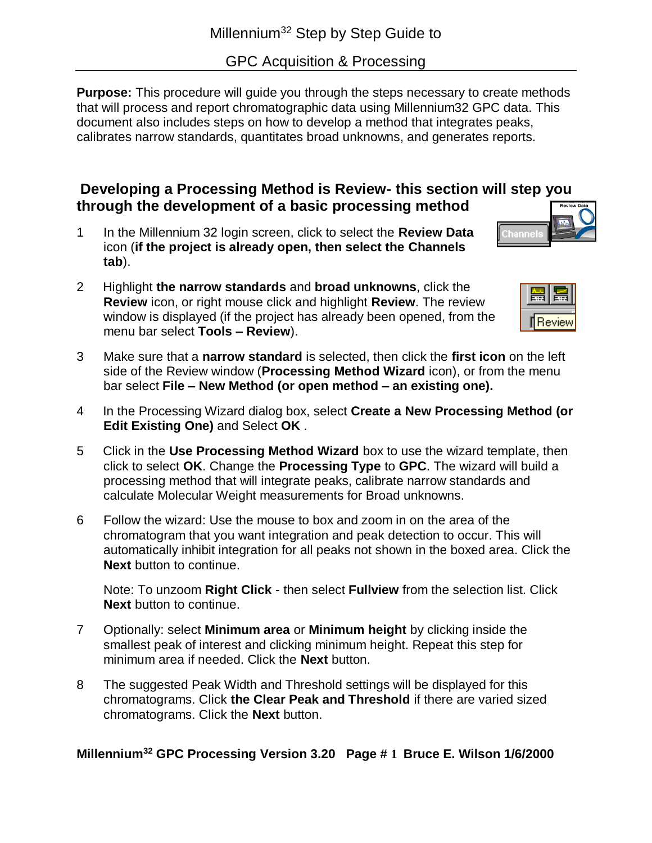GPC Acquisition & Processing

**Purpose:** This procedure will guide you through the steps necessary to create methods that will process and report chromatographic data using Millennium32 GPC data. This document also includes steps on how to develop a method that integrates peaks, calibrates narrow standards, quantitates broad unknowns, and generates reports.

## **Developing a Processing Method is Review- this section will step you through the development of a basic processing method**

- 1 In the Millennium 32 login screen, click to select the **Review Data** icon (**if the project is already open, then select the Channels tab**).
- 2 Highlight **the narrow standards** and **broad unknowns**, click the **Review** icon, or right mouse click and highlight **Review**. The review window is displayed (if the project has already been opened, from the menu bar select **Tools – Review**).

| ۰.<br>٠<br>۰ |  |
|--------------|--|

Channel

- 3 Make sure that a **narrow standard** is selected, then click the **first icon** on the left side of the Review window (**Processing Method Wizard** icon), or from the menu bar select **File – New Method (or open method – an existing one).**
- 4 In the Processing Wizard dialog box, select **Create a New Processing Method (or Edit Existing One)** and Select **OK** .
- 5 Click in the **Use Processing Method Wizard** box to use the wizard template, then click to select **OK**. Change the **Processing Type** to **GPC**. The wizard will build a processing method that will integrate peaks, calibrate narrow standards and calculate Molecular Weight measurements for Broad unknowns.
- 6 Follow the wizard: Use the mouse to box and zoom in on the area of the chromatogram that you want integration and peak detection to occur. This will automatically inhibit integration for all peaks not shown in the boxed area. Click the **Next** button to continue.

Note: To unzoom **Right Click** - then select **Fullview** from the selection list. Click **Next** button to continue.

- 7 Optionally: select **Minimum area** or **Minimum height** by clicking inside the smallest peak of interest and clicking minimum height. Repeat this step for minimum area if needed. Click the **Next** button.
- 8 The suggested Peak Width and Threshold settings will be displayed for this chromatograms. Click **the Clear Peak and Threshold** if there are varied sized chromatograms. Click the **Next** button.

## **Millennium<sup>32</sup> GPC Processing Version 3.20 Page # 1 Bruce E. Wilson 1/6/2000**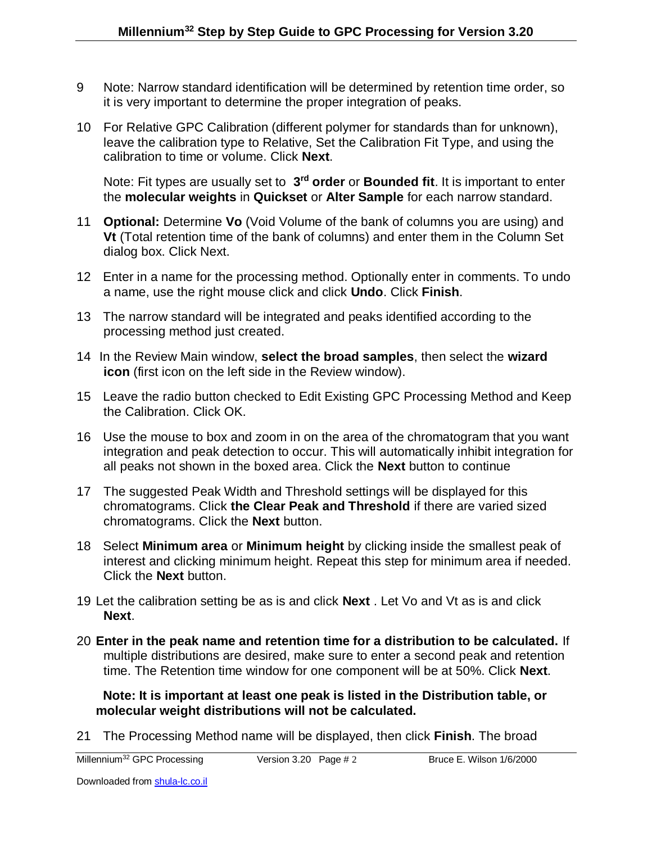- 9 Note: Narrow standard identification will be determined by retention time order, so it is very important to determine the proper integration of peaks.
- 10 For Relative GPC Calibration (different polymer for standards than for unknown), leave the calibration type to Relative, Set the Calibration Fit Type, and using the calibration to time or volume. Click **Next**.

Note: Fit types are usually set to 3<sup>rd</sup> order or Bounded fit. It is important to enter the **molecular weights** in **Quickset** or **Alter Sample** for each narrow standard.

- 11 **Optional:** Determine **Vo** (Void Volume of the bank of columns you are using) and **Vt** (Total retention time of the bank of columns) and enter them in the Column Set dialog box. Click Next.
- 12 Enter in a name for the processing method. Optionally enter in comments. To undo a name, use the right mouse click and click **Undo**. Click **Finish**.
- 13 The narrow standard will be integrated and peaks identified according to the processing method just created.
- 14 In the Review Main window, **select the broad samples**, then select the **wizard icon** (first icon on the left side in the Review window).
- 15 Leave the radio button checked to Edit Existing GPC Processing Method and Keep the Calibration. Click OK.
- 16 Use the mouse to box and zoom in on the area of the chromatogram that you want integration and peak detection to occur. This will automatically inhibit integration for all peaks not shown in the boxed area. Click the **Next** button to continue
- 17 The suggested Peak Width and Threshold settings will be displayed for this chromatograms. Click **the Clear Peak and Threshold** if there are varied sized chromatograms. Click the **Next** button.
- 18 Select **Minimum area** or **Minimum height** by clicking inside the smallest peak of interest and clicking minimum height. Repeat this step for minimum area if needed. Click the **Next** button.
- 19 Let the calibration setting be as is and click **Next** . Let Vo and Vt as is and click **Next**.
- 20 **Enter in the peak name and retention time for a distribution to be calculated.** If multiple distributions are desired, make sure to enter a second peak and retention time. The Retention time window for one component will be at 50%. Click **Next**.

 **Note: It is important at least one peak is listed in the Distribution table, or molecular weight distributions will not be calculated.**

21 The Processing Method name will be displayed, then click **Finish**. The broad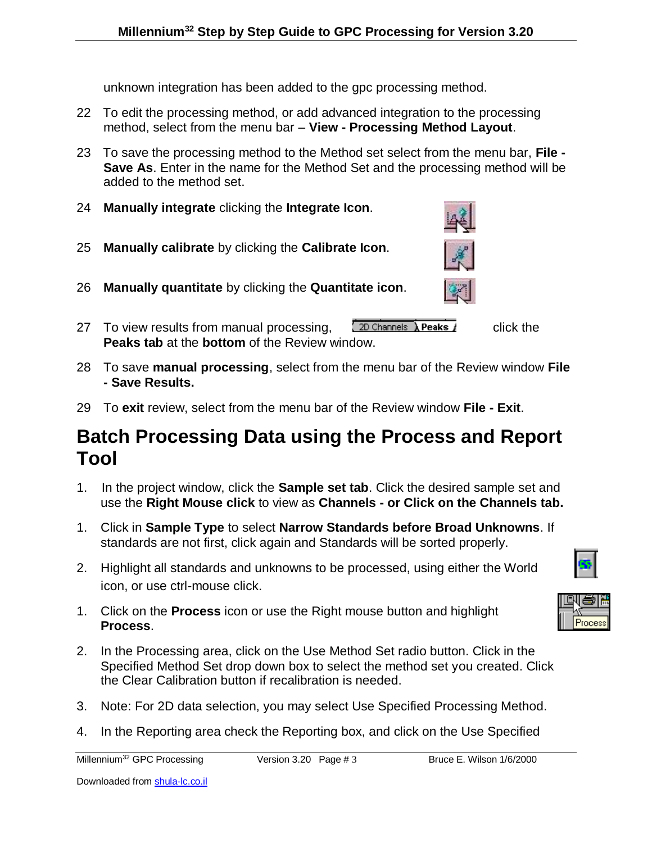unknown integration has been added to the gpc processing method.

- 22 To edit the processing method, or add advanced integration to the processing method, select from the menu bar – **View - Processing Method Layout**.
- 23 To save the processing method to the Method set select from the menu bar, **File - Save As**. Enter in the name for the Method Set and the processing method will be added to the method set.
- 24 **Manually integrate** clicking the **Integrate Icon**.
- 25 **Manually calibrate** by clicking the **Calibrate Icon**.
- 26 **Manually quantitate** by clicking the **Quantitate icon**.
- 27 To view results from manual processing,  $\sqrt{2D \text{ Channels} \cdot \text{Peaks}}$  click the **Peaks tab** at the **bottom** of the Review window.
- 28 To save **manual processing**, select from the menu bar of the Review window **File - Save Results.**
- 29 To **exit** review, select from the menu bar of the Review window **File - Exit**.

## **Batch Processing Data using the Process and Report Tool**

- 1. In the project window, click the **Sample set tab**. Click the desired sample set and use the **Right Mouse click** to view as **Channels - or Click on the Channels tab.**
- 1. Click in **Sample Type** to select **Narrow Standards before Broad Unknowns**. If standards are not first, click again and Standards will be sorted properly.
- 2. Highlight all standards and unknowns to be processed, using either the World icon, or use ctrl-mouse click.
- 1. Click on the **Process** icon or use the Right mouse button and highlight **Process**.
- 2. In the Processing area, click on the Use Method Set radio button. Click in the Specified Method Set drop down box to select the method set you created. Click the Clear Calibration button if recalibration is needed.
- 3. Note: For 2D data selection, you may select Use Specified Processing Method.
- 4. In the Reporting area check the Reporting box, and click on the Use Specified